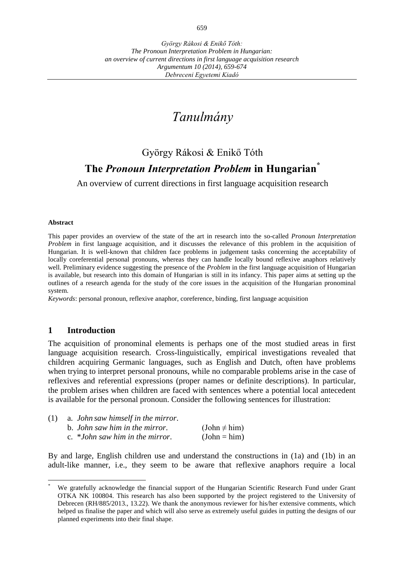# *Tanulmány*

## György Rákosi & Enikő Tóth **The** *Pronoun Interpretation Problem* **in Hungarian\***

An overview of current directions in first language acquisition research

#### **Abstract**

This paper provides an overview of the state of the art in research into the so-called *Pronoun Interpretation Problem* in first language acquisition, and it discusses the relevance of this problem in the acquisition of Hungarian. It is well-known that children face problems in judgement tasks concerning the acceptability of locally coreferential personal pronouns, whereas they can handle locally bound reflexive anaphors relatively well. Preliminary evidence suggesting the presence of the *Problem* in the first language acquisition of Hungarian is available, but research into this domain of Hungarian is still in its infancy. This paper aims at setting up the outlines of a research agenda for the study of the core issues in the acquisition of the Hungarian pronominal system.

*Keywords*: personal pronoun, reflexive anaphor, coreference, binding, first language acquisition

#### **1 Introduction**

 $\overline{a}$ 

The acquisition of pronominal elements is perhaps one of the most studied areas in first language acquisition research. Cross-linguistically, empirical investigations revealed that children acquiring Germanic languages, such as English and Dutch, often have problems when trying to interpret personal pronouns, while no comparable problems arise in the case of reflexives and referential expressions (proper names or definite descriptions). In particular, the problem arises when children are faced with sentences where a potential local antecedent is available for the personal pronoun. Consider the following sentences for illustration:

| (1) | a. John saw himself in the mirror. |                   |
|-----|------------------------------------|-------------------|
|     | b. John saw him in the mirror.     | $(John \neq him)$ |
|     | c. *John saw him in the mirror.    | $(John = him)$    |

By and large, English children use and understand the constructions in (1a) and (1b) in an adult-like manner, i.e., they seem to be aware that reflexive anaphors require a local

We gratefully acknowledge the financial support of the Hungarian Scientific Research Fund under Grant OTKA NK 100804. This research has also been supported by the project registered to the University of Debrecen (RH/885/2013., 13.22). We thank the anonymous reviewer for his/her extensive comments, which helped us finalise the paper and which will also serve as extremely useful guides in putting the designs of our planned experiments into their final shape.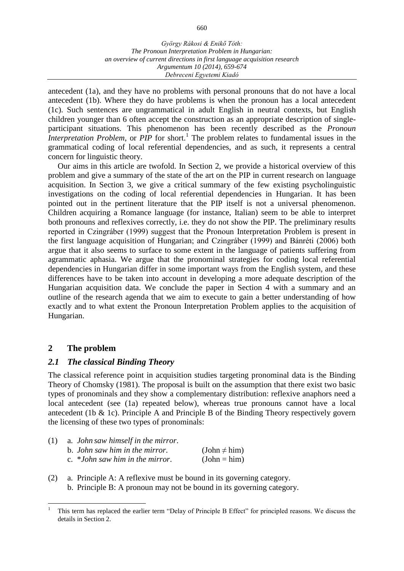antecedent (1a), and they have no problems with personal pronouns that do not have a local antecedent (1b). Where they do have problems is when the pronoun has a local antecedent (1c). Such sentences are ungrammatical in adult English in neutral contexts, but English children younger than 6 often accept the construction as an appropriate description of singleparticipant situations. This phenomenon has been recently described as the *Pronoun Interpretation Problem*, or *PIP* for short.<sup>1</sup> The problem relates to fundamental issues in the grammatical coding of local referential dependencies, and as such, it represents a central concern for linguistic theory.

Our aims in this article are twofold. In Section 2, we provide a historical overview of this problem and give a summary of the state of the art on the PIP in current research on language acquisition. In Section 3, we give a critical summary of the few existing psycholinguistic investigations on the coding of local referential dependencies in Hungarian. It has been pointed out in the pertinent literature that the PIP itself is not a universal phenomenon. Children acquiring a Romance language (for instance, Italian) seem to be able to interpret both pronouns and reflexives correctly, i.e. they do not show the PIP. The preliminary results reported in Czingráber (1999) suggest that the Pronoun Interpretation Problem is present in the first language acquisition of Hungarian; and Czingráber (1999) and Bánréti (2006) both argue that it also seems to surface to some extent in the language of patients suffering from agrammatic aphasia. We argue that the pronominal strategies for coding local referential dependencies in Hungarian differ in some important ways from the English system, and these differences have to be taken into account in developing a more adequate description of the Hungarian acquisition data. We conclude the paper in Section 4 with a summary and an outline of the research agenda that we aim to execute to gain a better understanding of how exactly and to what extent the Pronoun Interpretation Problem applies to the acquisition of Hungarian.

## **2 The problem**

## *2.1 The classical Binding Theory*

The classical reference point in acquisition studies targeting pronominal data is the Binding Theory of Chomsky (1981). The proposal is built on the assumption that there exist two basic types of pronominals and they show a complementary distribution: reflexive anaphors need a local antecedent (see (1a) repeated below), whereas true pronouns cannot have a local antecedent (1b  $\&$  1c). Principle A and Principle B of the Binding Theory respectively govern the licensing of these two types of pronominals:

| (1) | a. John saw himself in the mirror. |                   |
|-----|------------------------------------|-------------------|
|     | b. John saw him in the mirror.     | $(John \neq him)$ |
|     | c. $*John saw him in the mirror.$  | $(John = him)$    |

(2) a. Principle A: A reflexive must be bound in its governing category. b. Principle B: A pronoun may not be bound in its governing category.

 $\overline{a}$ <sup>1</sup> This term has replaced the earlier term "Delay of Principle B Effect" for principled reasons. We discuss the details in Section 2.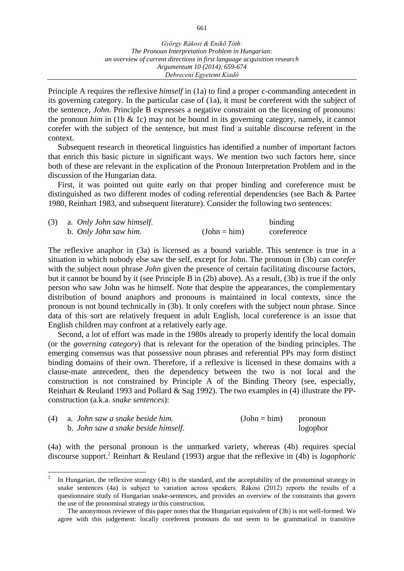Principle A requires the reflexive *himself* in (1a) to find a proper c-commanding antecedent in its governing category. In the particular case of (1a), it must be coreferent with the subject of the sentence, *John*. Principle B expresses a negative constraint on the licensing of pronouns: the pronoun *him* in (1b & 1c) may not be bound in its governing category, namely, it cannot corefer with the subject of the sentence, but must find a suitable discourse referent in the context.

Subsequent research in theoretical linguistics has identified a number of important factors that enrich this basic picture in significant ways. We mention two such factors here, since both of these are relevant in the explication of the Pronoun Interpretation Problem and in the discussion of the Hungarian data.

First, it was pointed out quite early on that proper binding and coreference must be distinguished as two different modes of coding referential dependencies (see Bach & Partee 1980, Reinhart 1983, and subsequent literature). Consider the following two sentences:

| (3) | a. Only John saw himself. |                | binding     |
|-----|---------------------------|----------------|-------------|
|     | b. Only John saw him.     | $(John = him)$ | coreference |

The reflexive anaphor in (3a) is licensed as a bound variable. This sentence is true in a situation in which nobody else saw the self, except for John. The pronoun in (3b) can *corefer* with the subject noun phrase *John* given the presence of certain facilitating discourse factors, but it cannot be bound by it (see Principle B in (2b) above). As a result, (3b) is true if the only person who saw John was he himself. Note that despite the appearances, the complementary distribution of bound anaphors and pronouns is maintained in local contexts, since the pronoun is not bound technically in (3b). It only corefers with the subject noun phrase. Since data of this sort are relatively frequent in adult English, local coreference is an issue that English children may confront at a relatively early age.

Second, a lot of effort was made in the 1980s already to properly identify the local domain (or the *governing category*) that is relevant for the operation of the binding principles. The emerging consensus was that possessive noun phrases and referential PPs may form distinct binding domains of their own. Therefore, if a reflexive is licensed in these domains with a clause-mate antecedent, then the dependency between the two is not local and the construction is not constrained by Principle A of the Binding Theory (see, especially, Reinhart & Reuland 1993 and Pollard & Sag 1992). The two examples in (4) illustrate the PPconstruction (a.k.a. *snake sentences*):

| $(4)$ a. John saw a snake beside him. | $(John = him)$ | pronoun  |
|---------------------------------------|----------------|----------|
| b. John saw a snake beside himself.   |                | logophor |

 $\overline{a}$ 

(4a) with the personal pronoun is the unmarked variety, whereas (4b) requires special discourse support.<sup>2</sup> Reinhart & Reuland (1993) argue that the reflexive in (4b) is *logophoric*

<sup>2</sup> In Hungarian, the reflexive strategy (4b) is the standard, and the acceptability of the pronominal strategy in snake sentences (4a) is subject to variation across speakers. Rákosi (2012) reports the results of a questionnaire study of Hungarian snake-sentences, and provides an overview of the constraints that govern the use of the pronominal strategy in this construction.

The anonymous reviewer of this paper notes that the Hungarian equivalent of (3b) is not well-formed. We agree with this judgement: locally coreferent pronouns do not seem to be grammatical in transitive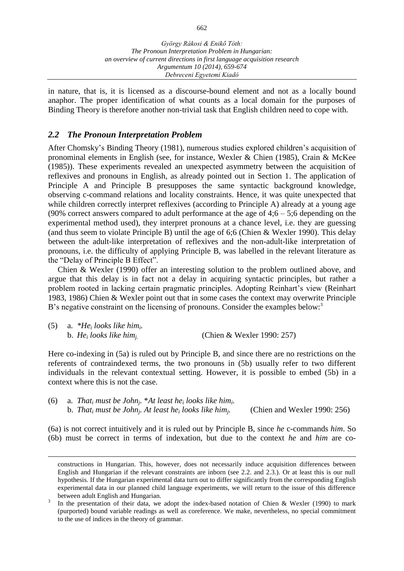in nature, that is, it is licensed as a discourse-bound element and not as a locally bound anaphor. The proper identification of what counts as a local domain for the purposes of Binding Theory is therefore another non-trivial task that English children need to cope with.

## *2.2 The Pronoun Interpretation Problem*

 $\overline{a}$ 

After Chomsky's Binding Theory (1981), numerous studies explored children's acquisition of pronominal elements in English (see, for instance, Wexler & Chien (1985), Crain & McKee (1985)). These experiments revealed an unexpected asymmetry between the acquisition of reflexives and pronouns in English, as already pointed out in Section 1. The application of Principle A and Principle B presupposes the same syntactic background knowledge, observing c-command relations and locality constraints. Hence, it was quite unexpected that while children correctly interpret reflexives (according to Principle A) already at a young age (90% correct answers compared to adult performance at the age of  $4;6 - 5;6$  depending on the experimental method used), they interpret pronouns at a chance level, i.e. they are guessing (and thus seem to violate Principle B) until the age of 6;6 (Chien & Wexler 1990). This delay between the adult-like interpretation of reflexives and the non-adult-like interpretation of pronouns, i.e. the difficulty of applying Principle B, was labelled in the relevant literature as the "Delay of Principle B Effect".

Chien & Wexler (1990) offer an interesting solution to the problem outlined above, and argue that this delay is in fact not a delay in acquiring syntactic principles, but rather a problem rooted in lacking certain pragmatic principles. Adopting Reinhart's view (Reinhart 1983, 1986) Chien & Wexler point out that in some cases the context may overwrite Principle B's negative constraint on the licensing of pronouns. Consider the examples below:<sup>3</sup>

| (5) | a. $*He_i$ looks like him.                      |                            |
|-----|-------------------------------------------------|----------------------------|
|     | b. He <sub>i</sub> looks like him <sub>i.</sub> | (Chien & Wexler 1990: 257) |

Here co-indexing in (5a) is ruled out by Principle B, and since there are no restrictions on the referents of contraindexed terms, the two pronouns in (5b) usually refer to two different individuals in the relevant contextual setting. However, it is possible to embed (5b) in a context where this is not the case.

(6) a. *That<sup>i</sup> must be John<sup>j</sup> .* \**At least he<sup>i</sup> looks like him<sup>i</sup> .* b. *That<sup>i</sup> must be John<sup>j</sup> . At least he<sup>i</sup> looks like him<sup>j</sup> .* (Chien and Wexler 1990: 256)

(6a) is not correct intuitively and it is ruled out by Principle B, since *he* c-commands *him*. So (6b) must be correct in terms of indexation, but due to the context *he* and *him* are co-

constructions in Hungarian. This, however, does not necessarily induce acquisition differences between English and Hungarian if the relevant constraints are inborn (see 2.2. and 2.3.). Or at least this is our null hypothesis. If the Hungarian experimental data turn out to differ significantly from the corresponding English experimental data in our planned child language experiments, we will return to the issue of this difference between adult English and Hungarian.

<sup>3</sup> In the presentation of their data, we adopt the index-based notation of Chien & Wexler (1990) to mark (purported) bound variable readings as well as coreference. We make, nevertheless, no special commitment to the use of indices in the theory of grammar.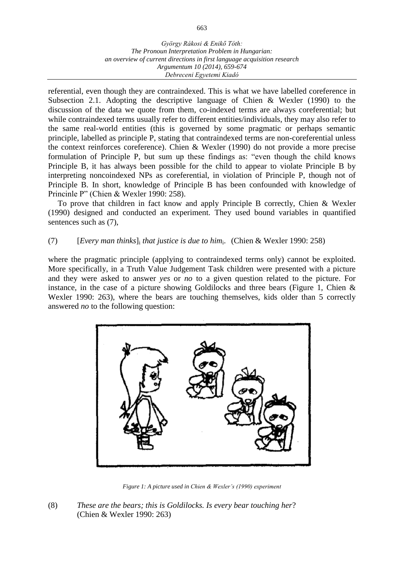referential, even though they are contraindexed. This is what we have labelled coreference in Subsection 2.1. Adopting the descriptive language of Chien & Wexler (1990) to the discussion of the data we quote from them, co-indexed terms are always coreferential; but while contraindexed terms usually refer to different entities/individuals, they may also refer to the same real-world entities (this is governed by some pragmatic or perhaps semantic principle, labelled as principle P, stating that contraindexed terms are non-coreferential unless the context reinforces coreference). Chien & Wexler (1990) do not provide a more precise formulation of Principle P, but sum up these findings as: "even though the child knows Principle B, it has always been possible for the child to appear to violate Principle B by interpreting noncoindexed NPs as coreferential, in violation of Principle P, though not of Principle B. In short, knowledge of Principle B has been confounded with knowledge of Princinle P" (Chien & Wexler 1990: 258).

To prove that children in fact know and apply Principle B correctly, Chien & Wexler (1990) designed and conducted an experiment. They used bound variables in quantified sentences such as (7),

## (7) [*Every man thinks*]<sup>i</sup> *that justice is due to him*<sup>i</sup> . (Chien & Wexler 1990: 258)

where the pragmatic principle (applying to contraindexed terms only) cannot be exploited. More specifically, in a Truth Value Judgement Task children were presented with a picture and they were asked to answer *yes* or *no* to a given question related to the picture. For instance, in the case of a picture showing Goldilocks and three bears (Figure 1, Chien  $\&$ Wexler 1990: 263), where the bears are touching themselves, kids older than 5 correctly answered *no* to the following question:



*Figure 1: A picture used in Chien & Wexler's (1990) experiment*

(8) *These are the bears; this is Goldilocks. Is every bear touching her*? (Chien & Wexler 1990: 263)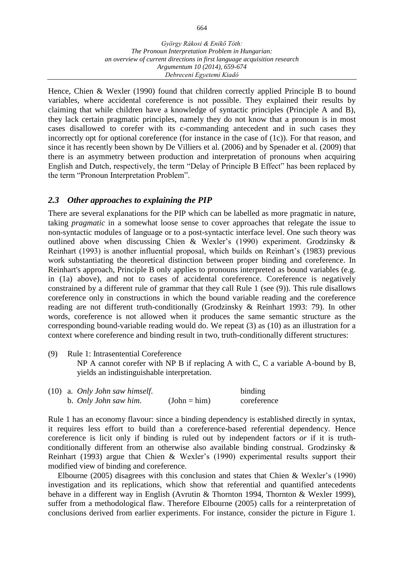Hence, Chien & Wexler (1990) found that children correctly applied Principle B to bound variables, where accidental coreference is not possible. They explained their results by claiming that while children have a knowledge of syntactic principles (Principle A and B), they lack certain pragmatic principles, namely they do not know that a pronoun is in most cases disallowed to corefer with its c-commanding antecedent and in such cases they incorrectly opt for optional coreference (for instance in the case of (1c)). For that reason, and since it has recently been shown by De Villiers et al. (2006) and by Spenader et al. (2009) that there is an asymmetry between production and interpretation of pronouns when acquiring English and Dutch, respectively, the term "Delay of Principle B Effect" has been replaced by the term "Pronoun Interpretation Problem".

## *2.3 Other approaches to explaining the PIP*

There are several explanations for the PIP which can be labelled as more pragmatic in nature, taking *pragmatic* in a somewhat loose sense to cover approaches that relegate the issue to non-syntactic modules of language or to a post-syntactic interface level. One such theory was outlined above when discussing Chien & Wexler's (1990) experiment. Grodzinsky & Reinhart (1993) is another influential proposal, which builds on Reinhart's (1983) previous work substantiating the theoretical distinction between proper binding and coreference. In Reinhart's approach, Principle B only applies to pronouns interpreted as bound variables (e.g. in (1a) above), and not to cases of accidental coreference. Coreference is negatively constrained by a different rule of grammar that they call Rule 1 (see (9)). This rule disallows coreference only in constructions in which the bound variable reading and the coreference reading are not different truth-conditionally (Grodzinsky & Reinhart 1993: 79). In other words, coreference is not allowed when it produces the same semantic structure as the corresponding bound-variable reading would do. We repeat (3) as (10) as an illustration for a context where coreference and binding result in two, truth-conditionally different structures:

(9) Rule 1: Intrasentential Coreference NP A cannot corefer with NP B if replacing A with C, C a variable A-bound by B, yields an indistinguishable interpretation.

|  | $(10)$ a. Only John saw himself. | binding        |             |
|--|----------------------------------|----------------|-------------|
|  | b. Only John saw him.            | $(John = him)$ | coreference |

Rule 1 has an economy flavour: since a binding dependency is established directly in syntax, it requires less effort to build than a coreference-based referential dependency. Hence coreference is licit only if binding is ruled out by independent factors *or* if it is truthconditionally different from an otherwise also available binding construal. Grodzinsky & Reinhart (1993) argue that Chien & Wexler's (1990) experimental results support their modified view of binding and coreference.

Elbourne (2005) disagrees with this conclusion and states that Chien & Wexler's (1990) investigation and its replications, which show that referential and quantified antecedents behave in a different way in English (Avrutin & Thornton 1994, Thornton & Wexler 1999), suffer from a methodological flaw. Therefore Elbourne (2005) calls for a reinterpretation of conclusions derived from earlier experiments. For instance, consider the picture in Figure 1.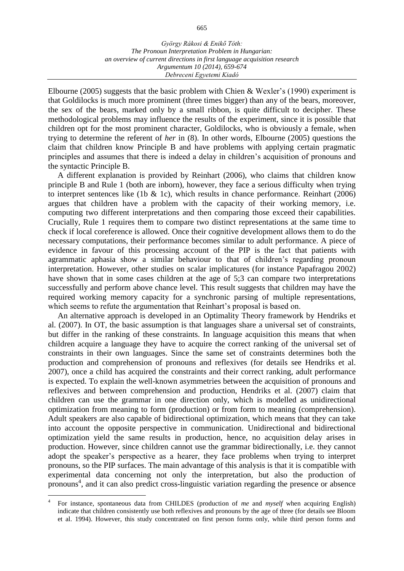*an overview of current directions in first language acquisition research Argumentum 10 (2014), 659-674 Debreceni Egyetemi Kiadó*

Elbourne (2005) suggests that the basic problem with Chien & Wexler's (1990) experiment is that Goldilocks is much more prominent (three times bigger) than any of the bears, moreover, the sex of the bears, marked only by a small ribbon, is quite difficult to decipher. These methodological problems may influence the results of the experiment, since it is possible that children opt for the most prominent character, Goldilocks, who is obviously a female, when trying to determine the referent of *her* in (8). In other words, Elbourne (2005) questions the claim that children know Principle B and have problems with applying certain pragmatic principles and assumes that there is indeed a delay in children's acquisition of pronouns and the syntactic Principle B.

A different explanation is provided by Reinhart (2006), who claims that children know principle B and Rule 1 (both are inborn), however, they face a serious difficulty when trying to interpret sentences like (1b  $\&$  1c), which results in chance performance. Reinhart (2006) argues that children have a problem with the capacity of their working memory, i.e. computing two different interpretations and then comparing those exceed their capabilities. Crucially, Rule 1 requires them to compare two distinct representations at the same time to check if local coreference is allowed. Once their cognitive development allows them to do the necessary computations, their performance becomes similar to adult performance. A piece of evidence in favour of this processing account of the PIP is the fact that patients with agrammatic aphasia show a similar behaviour to that of children's regarding pronoun interpretation. However, other studies on scalar implicatures (for instance Papafragou 2002) have shown that in some cases children at the age of 5;3 can compare two interpretations successfully and perform above chance level. This result suggests that children may have the required working memory capacity for a synchronic parsing of multiple representations, which seems to refute the argumentation that Reinhart's proposal is based on.

An alternative approach is developed in an Optimality Theory framework by Hendriks et al. (2007). In OT, the basic assumption is that languages share a universal set of constraints, but differ in the ranking of these constraints. In language acquisition this means that when children acquire a language they have to acquire the correct ranking of the universal set of constraints in their own languages. Since the same set of constraints determines both the production and comprehension of pronouns and reflexives (for details see Hendriks et al. 2007), once a child has acquired the constraints and their correct ranking, adult performance is expected. To explain the well-known asymmetries between the acquisition of pronouns and reflexives and between comprehension and production, Hendriks et al. (2007) claim that children can use the grammar in one direction only, which is modelled as unidirectional optimization from meaning to form (production) or from form to meaning (comprehension). Adult speakers are also capable of bidirectional optimization, which means that they can take into account the opposite perspective in communication. Unidirectional and bidirectional optimization yield the same results in production, hence, no acquisition delay arises in production. However, since children cannot use the grammar bidirectionally, i.e. they cannot adopt the speaker's perspective as a hearer, they face problems when trying to interpret pronouns, so the PIP surfaces. The main advantage of this analysis is that it is compatible with experimental data concerning not only the interpretation, but also the production of pronouns 4 , and it can also predict cross-linguistic variation regarding the presence or absence

 $\overline{a}$ 

<sup>4</sup> For instance, spontaneous data from CHILDES (production of *me* and *myself* when acquiring English) indicate that children consistently use both reflexives and pronouns by the age of three (for details see Bloom et al. 1994). However, this study concentrated on first person forms only, while third person forms and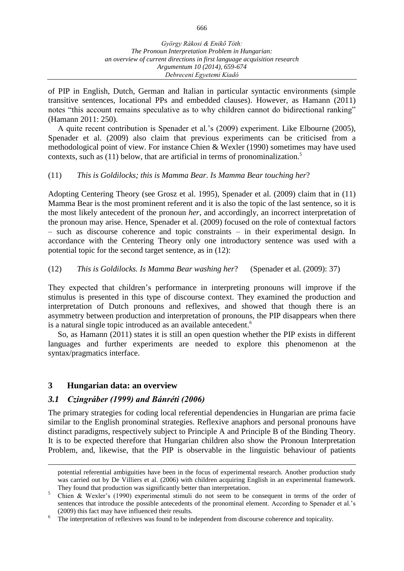of PIP in English, Dutch, German and Italian in particular syntactic environments (simple transitive sentences, locational PPs and embedded clauses). However, as Hamann (2011) notes "this account remains speculative as to why children cannot do bidirectional ranking" (Hamann 2011: 250).

A quite recent contribution is Spenader et al.'s (2009) experiment. Like Elbourne (2005), Spenader et al. (2009) also claim that previous experiments can be criticised from a methodological point of view. For instance Chien & Wexler (1990) sometimes may have used contexts, such as (11) below, that are artificial in terms of pronominalization. 5

#### (11) *This is Goldilocks; this is Mamma Bear. Is Mamma Bear touching her*?

Adopting Centering Theory (see Grosz et al. 1995), Spenader et al. (2009) claim that in (11) Mamma Bear is the most prominent referent and it is also the topic of the last sentence, so it is the most likely antecedent of the pronoun *her*, and accordingly, an incorrect interpretation of the pronoun may arise. Hence, Spenader et al. (2009) focused on the role of contextual factors – such as discourse coherence and topic constraints – in their experimental design. In accordance with the Centering Theory only one introductory sentence was used with a potential topic for the second target sentence, as in (12):

(12) *This is Goldilocks. Is Mamma Bear washing her*? (Spenader et al. (2009): 37)

They expected that children's performance in interpreting pronouns will improve if the stimulus is presented in this type of discourse context. They examined the production and interpretation of Dutch pronouns and reflexives, and showed that though there is an asymmetry between production and interpretation of pronouns, the PIP disappears when there is a natural single topic introduced as an available antecedent.<sup>6</sup>

So, as Hamann (2011) states it is still an open question whether the PIP exists in different languages and further experiments are needed to explore this phenomenon at the syntax/pragmatics interface.

## **3 Hungarian data: an overview**

 $\overline{a}$ 

## *3.1 Czingráber (1999) and Bánréti (2006)*

The primary strategies for coding local referential dependencies in Hungarian are prima facie similar to the English pronominal strategies. Reflexive anaphors and personal pronouns have distinct paradigms, respectively subject to Principle A and Principle B of the Binding Theory. It is to be expected therefore that Hungarian children also show the Pronoun Interpretation Problem, and, likewise, that the PIP is observable in the linguistic behaviour of patients

potential referential ambiguities have been in the focus of experimental research. Another production study was carried out by De Villiers et al. (2006) with children acquiring English in an experimental framework. They found that production was significantly better than interpretation.

<sup>&</sup>lt;sup>5</sup> Chien & Wexler's (1990) experimental stimuli do not seem to be consequent in terms of the order of sentences that introduce the possible antecedents of the pronominal element. According to Spenader et al.'s (2009) this fact may have influenced their results.

The interpretation of reflexives was found to be independent from discourse coherence and topicality.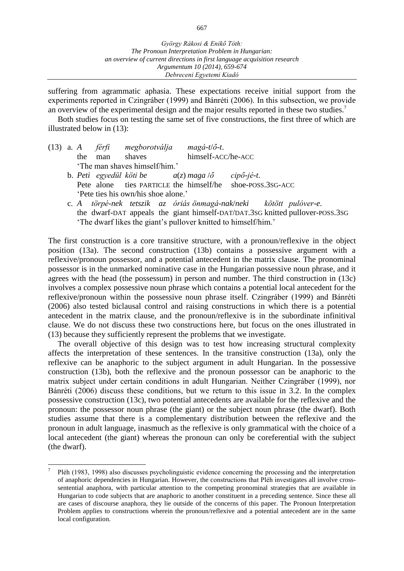suffering from agrammatic aphasia. These expectations receive initial support from the experiments reported in Czingráber (1999) and Bánréti (2006). In this subsection, we provide an overview of the experimental design and the major results reported in these two studies.<sup>7</sup>

Both studies focus on testing the same set of five constructions, the first three of which are illustrated below in (13):

|  |     |     | (13) a. A férfi megborotválja       | $mag\acute{a}$ -t/ $\acute{o}$ -t.                                |  |  |
|--|-----|-----|-------------------------------------|-------------------------------------------------------------------|--|--|
|  | the | man | shaves                              | himself-ACC/he-ACC                                                |  |  |
|  |     |     | 'The man shaves himself/him.'       |                                                                   |  |  |
|  |     |     |                                     | b. Peti egyedül köti be $a(z)$ maga $\ddot{o}$ cipő-jé-t.         |  |  |
|  |     |     |                                     | Pete alone ties PARTICLE the himself/he shoe-POSS.3SG-ACC         |  |  |
|  |     |     | 'Pete ties his own/his shoe alone.' |                                                                   |  |  |
|  |     |     |                                     | c. A törpé-nek tetszik az óriás önmagá-nak/neki kötött pulóver-e. |  |  |

the dwarf-DAT appeals the giant himself-DAT/DAT.3SG knitted pullover-POSS.3SG 'The dwarf likes the giant's pullover knitted to himself/him.'

The first construction is a core transitive structure, with a pronoun/reflexive in the object position (13a). The second construction (13b) contains a possessive argument with a reflexive/pronoun possessor, and a potential antecedent in the matrix clause. The pronominal possessor is in the unmarked nominative case in the Hungarian possessive noun phrase, and it agrees with the head (the possessum) in person and number. The third construction in (13c) involves a complex possessive noun phrase which contains a potential local antecedent for the reflexive/pronoun within the possessive noun phrase itself. Czingráber (1999) and Bánréti (2006) also tested biclausal control and raising constructions in which there is a potential antecedent in the matrix clause, and the pronoun/reflexive is in the subordinate infinitival clause. We do not discuss these two constructions here, but focus on the ones illustrated in (13) because they sufficiently represent the problems that we investigate.

The overall objective of this design was to test how increasing structural complexity affects the interpretation of these sentences. In the transitive construction (13a), only the reflexive can be anaphoric to the subject argument in adult Hungarian. In the possessive construction (13b), both the reflexive and the pronoun possessor can be anaphoric to the matrix subject under certain conditions in adult Hungarian. Neither Czingráber (1999), nor Bánréti (2006) discuss these conditions, but we return to this issue in 3.2. In the complex possessive construction (13c), two potential antecedents are available for the reflexive and the pronoun: the possessor noun phrase (the giant) or the subject noun phrase (the dwarf). Both studies assume that there is a complementary distribution between the reflexive and the pronoun in adult language, inasmuch as the reflexive is only grammatical with the choice of a local antecedent (the giant) whereas the pronoun can only be coreferential with the subject (the dwarf).

 $\overline{a}$ 

<sup>7</sup> Pléh (1983, 1998) also discusses psycholinguistic evidence concerning the processing and the interpretation of anaphoric dependencies in Hungarian. However, the constructions that Pléh investigates all involve crosssentential anaphora, with particular attention to the competing pronominal strategies that are available in Hungarian to code subjects that are anaphoric to another constituent in a preceding sentence. Since these all are cases of discourse anaphora, they lie outside of the concerns of this paper. The Pronoun Interpretation Problem applies to constructions wherein the pronoun/reflexive and a potential antecedent are in the same local configuration.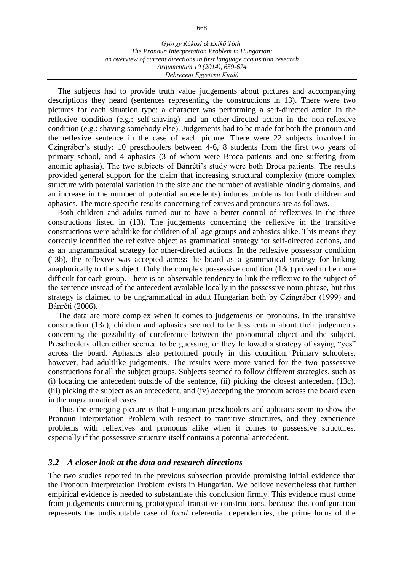The subjects had to provide truth value judgements about pictures and accompanying descriptions they heard (sentences representing the constructions in 13). There were two pictures for each situation type: a character was performing a self-directed action in the reflexive condition (e.g.: self-shaving) and an other-directed action in the non-reflexive condition (e.g.: shaving somebody else). Judgements had to be made for both the pronoun and the reflexive sentence in the case of each picture. There were 22 subjects involved in Czingráber's study: 10 preschoolers between 4-6, 8 students from the first two years of primary school, and 4 aphasics (3 of whom were Broca patients and one suffering from anomic aphasia). The two subjects of Bánréti's study were both Broca patients. The results provided general support for the claim that increasing structural complexity (more complex structure with potential variation in the size and the number of available binding domains, and an increase in the number of potential antecedents) induces problems for both children and aphasics. The more specific results concerning reflexives and pronouns are as follows.

Both children and adults turned out to have a better control of reflexives in the three constructions listed in (13). The judgements concerning the reflexive in the transitive constructions were adultlike for children of all age groups and aphasics alike. This means they correctly identified the reflexive object as grammatical strategy for self-directed actions, and as an ungrammatical strategy for other-directed actions. In the reflexive possessor condition (13b), the reflexive was accepted across the board as a grammatical strategy for linking anaphorically to the subject. Only the complex possessive condition (13c) proved to be more difficult for each group. There is an observable tendency to link the reflexive to the subject of the sentence instead of the antecedent available locally in the possessive noun phrase, but this strategy is claimed to be ungrammatical in adult Hungarian both by Czingráber (1999) and Bánréti (2006).

The data are more complex when it comes to judgements on pronouns. In the transitive construction (13a), children and aphasics seemed to be less certain about their judgements concerning the possibility of coreference between the pronominal object and the subject. Preschoolers often either seemed to be guessing, or they followed a strategy of saying "yes" across the board. Aphasics also performed poorly in this condition. Primary schoolers, however, had adultlike judgements. The results were more varied for the two possessive constructions for all the subject groups. Subjects seemed to follow different strategies, such as (i) locating the antecedent outside of the sentence, (ii) picking the closest antecedent (13c), (iii) picking the subject as an antecedent, and (iv) accepting the pronoun across the board even in the ungrammatical cases.

Thus the emerging picture is that Hungarian preschoolers and aphasics seem to show the Pronoun Interpretation Problem with respect to transitive structures, and they experience problems with reflexives and pronouns alike when it comes to possessive structures, especially if the possessive structure itself contains a potential antecedent.

#### *3.2 A closer look at the data and research directions*

The two studies reported in the previous subsection provide promising initial evidence that the Pronoun Interpretation Problem exists in Hungarian. We believe nevertheless that further empirical evidence is needed to substantiate this conclusion firmly. This evidence must come from judgements concerning prototypical transitive constructions, because this configuration represents the undisputable case of *local* referential dependencies, the prime locus of the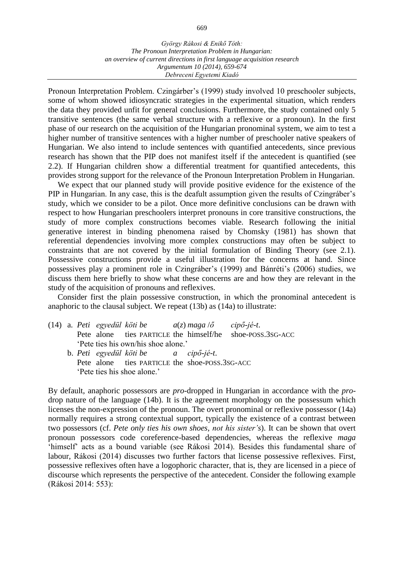Pronoun Interpretation Problem. Czingárber's (1999) study involved 10 preschooler subjects, some of whom showed idiosyncratic strategies in the experimental situation, which renders the data they provided unfit for general conclusions. Furthermore, the study contained only 5 transitive sentences (the same verbal structure with a reflexive or a pronoun). In the first phase of our research on the acquisition of the Hungarian pronominal system, we aim to test a higher number of transitive sentences with a higher number of preschooler native speakers of Hungarian. We also intend to include sentences with quantified antecedents, since previous research has shown that the PIP does not manifest itself if the antecedent is quantified (see 2.2). If Hungarian children show a differential treatment for quantified antecedents, this provides strong support for the relevance of the Pronoun Interpretation Problem in Hungarian.

We expect that our planned study will provide positive evidence for the existence of the PIP in Hungarian. In any case, this is the deafult assumption given the results of Czingráber's study, which we consider to be a pilot. Once more definitive conclusions can be drawn with respect to how Hungarian preschoolers interpret pronouns in core transitive constructions, the study of more complex constructions becomes viable. Research following the initial generative interest in binding phenomena raised by Chomsky (1981) has shown that referential dependencies involving more complex constructions may often be subject to constraints that are not covered by the initial formulation of Binding Theory (see 2.1). Possessive constructions provide a useful illustration for the concerns at hand. Since possessives play a prominent role in Czingráber's (1999) and Bánréti's (2006) studies, we discuss them here briefly to show what these concerns are and how they are relevant in the study of the acquisition of pronouns and reflexives.

Consider first the plain possessive construction, in which the pronominal antecedent is anaphoric to the clausal subject. We repeat (13b) as (14a) to illustrate:

|  |                             |                                      | (14) a. Peti egyedül köti be $a(z)$ maga $\delta$ cipő-jé-t. |                                                           |
|--|-----------------------------|--------------------------------------|--------------------------------------------------------------|-----------------------------------------------------------|
|  |                             |                                      |                                                              | Pete alone ties PARTICLE the himself/he shoe-POSS.3SG-ACC |
|  |                             | 'Pete ties his own/his shoe alone.'  |                                                              |                                                           |
|  |                             | b. Peti egyedül köti be a cipő-jé-t. |                                                              |                                                           |
|  |                             |                                      | Pete alone ties PARTICLE the shoe-POSS.3SG-ACC               |                                                           |
|  | 'Pete ties his shoe alone.' |                                      |                                                              |                                                           |

By default, anaphoric possessors are *pro*-dropped in Hungarian in accordance with the *pro*drop nature of the language (14b). It is the agreement morphology on the possessum which licenses the non-expression of the pronoun. The overt pronominal or reflexive possessor (14a) normally requires a strong contextual support, typically the existence of a contrast between two possessors (cf. *Pete only ties his own shoes, not his sister's*). It can be shown that overt pronoun possessors code coreference-based dependencies, whereas the reflexive *maga* 'himself' acts as a bound variable (see Rákosi 2014). Besides this fundamental share of labour, Rákosi (2014) discusses two further factors that license possessive reflexives. First, possessive reflexives often have a logophoric character, that is, they are licensed in a piece of discourse which represents the perspective of the antecedent. Consider the following example (Rákosi 2014: 553):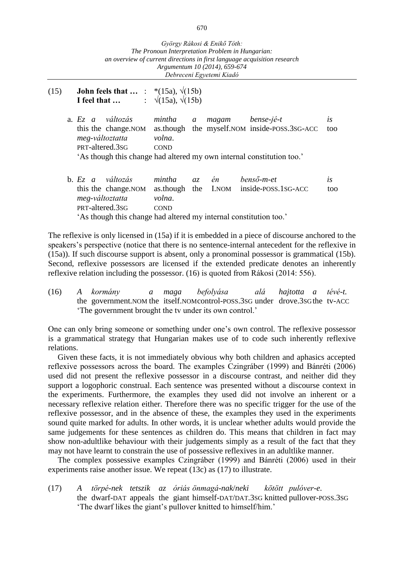- (15) **John feels that …** : \*(15a), √(15b) **I** feel that ...  $\qquad$  :  $\sqrt{(15a)}$ ,  $\sqrt{(15b)}$ 
	- a. *Ez a változás mintha a magam bense-jé-t is* this the change.NOM as.though the myself.NOM inside-POSS.3SG-ACC too *meg-változtatta volna*. PRT-altered.3sG COND 'As though this change had altered my own internal constitution too.'
	- b. *Ez a változás mintha az én benső-m-et is* this the change.NOM as.though the I.NOM inside-POSS.1SG-ACC too *meg-változtatta volna*. PRT-altered.3sG COND 'As though this change had altered my internal constitution too.'

The reflexive is only licensed in (15a) if it is embedded in a piece of discourse anchored to the speakers's perspective (notice that there is no sentence-internal antecedent for the reflexive in (15a)). If such discourse support is absent, only a pronominal possessor is grammatical (15b). Second, reflexive possessors are licensed if the extended predicate denotes an inherently reflexive relation including the possessor. (16) is quoted from Rákosi (2014: 556).

(16) *A kormány a maga befolyása alá hajtotta a tévé-t.* the government.NOM the itself.NOMcontrol-POSS.3SG under drove.3SGthe tv-ACC 'The government brought the tv under its own control.'

One can only bring someone or something under one's own control. The reflexive possessor is a grammatical strategy that Hungarian makes use of to code such inherently reflexive relations.

Given these facts, it is not immediately obvious why both children and aphasics accepted reflexive possessors across the board. The examples Czingráber (1999) and Bánréti (2006) used did not present the reflexive possessor in a discourse contrast, and neither did they support a logophoric construal. Each sentence was presented without a discourse context in the experiments. Furthermore, the examples they used did not involve an inherent or a necessary reflexive relation either. Therefore there was no specific trigger for the use of the reflexive possessor, and in the absence of these, the examples they used in the experiments sound quite marked for adults. In other words, it is unclear whether adults would provide the same judgements for these sentences as children do. This means that children in fact may show non-adultlike behaviour with their judgements simply as a result of the fact that they may not have learnt to constrain the use of possessive reflexives in an adultlike manner.

The complex possessive examples Czingráber (1999) and Bánréti (2006) used in their experiments raise another issue. We repeat (13c) as (17) to illustrate.

(17) *A törpé-nek tetszik az óriás önmagá-nak*/*neki kötött pulóver-e*. the dwarf-DAT appeals the giant himself-DAT/DAT.3SG knitted pullover-POSS.3SG 'The dwarf likes the giant's pullover knitted to himself/him.'

670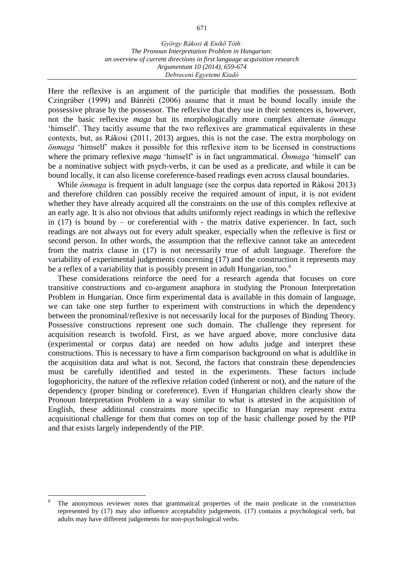Here the reflexive is an argument of the participle that modifies the possessum. Both Czingráber (1999) and Bánréti (2006) assume that it must be bound locally inside the possessive phrase by the possessor. The reflexive that they use in their sentences is, however, not the basic reflexive *maga* but its morphologically more complex alternate *önmaga* 'himself'. They tacitly assume that the two reflexives are grammatical equivalents in these contexts, but, as Rákosi (2011, 2013) argues, this is not the case. The extra morphology on *önmaga* 'himself' makes it possible for this reflexive item to be licensed in constructions where the primary reflexive *maga* 'himself' is in fact ungrammatical. *Önmaga* 'himself' can be a nominative subject with psych-verbs, it can be used as a predicate, and while it can be bound locally, it can also license coreference-based readings even across clausal boundaries.

While *önmaga* is frequent in adult language (see the corpus data reported in Rákosi 2013) and therefore children can possibly receive the required amount of input, it is not evident whether they have already acquired all the constraints on the use of this complex reflexive at an early age. It is also not obvious that adults uniformly reject readings in which the reflexive in (17) is bound by – or coreferential with - the matrix dative experiencer. In fact, such readings are not always out for every adult speaker, especially when the reflexive is first or second person. In other words, the assumption that the reflexive cannot take an antecedent from the matrix clause in (17) is not necessarily true of adult language. Therefore the variability of experimental judgements concerning (17) and the construction it represents may be a reflex of a variability that is possibly present in adult Hungarian, too.<sup>8</sup>

These considerations reinforce the need for a research agenda that focuses on core transitive constructions and co-argument anaphora in studying the Pronoun Interpretation Problem in Hungarian. Once firm experimental data is available in this domain of language, we can take one step further to experiment with constructions in which the dependency between the pronominal/reflexive is not necessarily local for the purposes of Binding Theory. Possessive constructions represent one such domain. The challenge they represent for acquisition research is twofold. First, as we have argued above, more conclusive data (experimental or corpus data) are needed on how adults judge and interpret these constructions. This is necessary to have a firm comparison background on what is adultlike in the acquisition data and what is not. Second, the factors that constrain these dependencies must be carefully identified and tested in the experiments. These factors include logophoricity, the nature of the reflexive relation coded (inherent or not), and the nature of the dependency (proper binding or coreference). Even if Hungarian children clearly show the Pronoun Interpretation Problem in a way similar to what is attested in the acquisition of English, these additional constraints more specific to Hungarian may represent extra acquisitional challenge for them that comes on top of the basic challenge posed by the PIP and that exists largely independently of the PIP.

 $\overline{a}$ 

The anonymous reviewer notes that grammatical properties of the main predicate in the construction represented by (17) may also influence acceptability judgements. (17) contains a psychological verb, but adults may have different judgements for non-psychological verbs.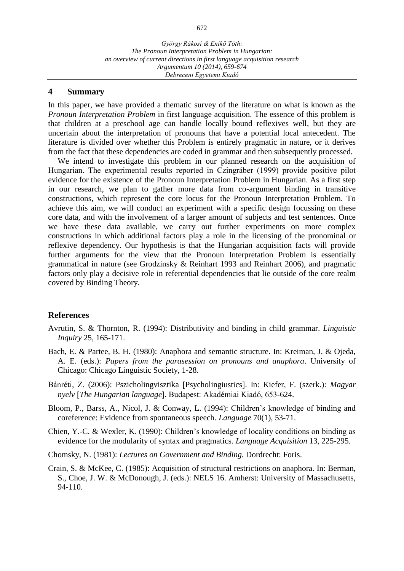*György Rákosi & Enikő Tóth: The Pronoun Interpretation Problem in Hungarian: an overview of current directions in first language acquisition research Argumentum 10 (2014), 659-674 Debreceni Egyetemi Kiadó*

#### **4 Summary**

In this paper, we have provided a thematic survey of the literature on what is known as the *Pronoun Interpretation Problem* in first language acquisition. The essence of this problem is that children at a preschool age can handle locally bound reflexives well, but they are uncertain about the interpretation of pronouns that have a potential local antecedent. The literature is divided over whether this Problem is entirely pragmatic in nature, or it derives from the fact that these dependencies are coded in grammar and then subsequently processed.

We intend to investigate this problem in our planned research on the acquisition of Hungarian. The experimental results reported in Czingráber (1999) provide positive pilot evidence for the existence of the Pronoun Interpretation Problem in Hungarian. As a first step in our research, we plan to gather more data from co-argument binding in transitive constructions, which represent the core locus for the Pronoun Interpretation Problem. To achieve this aim, we will conduct an experiment with a specific design focussing on these core data, and with the involvement of a larger amount of subjects and test sentences. Once we have these data available, we carry out further experiments on more complex constructions in which additional factors play a role in the licensing of the pronominal or reflexive dependency. Our hypothesis is that the Hungarian acquisition facts will provide further arguments for the view that the Pronoun Interpretation Problem is essentially grammatical in nature (see Grodzinsky & Reinhart 1993 and Reinhart 2006), and pragmatic factors only play a decisive role in referential dependencies that lie outside of the core realm covered by Binding Theory.

#### **References**

- Avrutin, S. & Thornton, R. (1994): Distributivity and binding in child grammar. *Linguistic Inquiry* 25, 165-171.
- Bach, E. & Partee, B. H. (1980): Anaphora and semantic structure. In: Kreiman, J. & Ojeda, A. E. (eds.): *Papers from the parasession on pronouns and anaphora*. University of Chicago: Chicago Linguistic Society, 1-28.
- Bánréti, Z. (2006): Pszicholingvisztika [Psycholingiustics]. In: Kiefer, F. (szerk.): *Magyar nyelv The Hungarian language*. Budapest: Akadémiai Kiadó, 653-624.
- Bloom, P., Barss, A., Nicol, J. & Conway, L. (1994): Children's knowledge of binding and coreference: Evidence from spontaneous speech. *Language* 70(1), 53-71.
- Chien, Y.-C. & Wexler, K. (1990): Children's knowledge of locality conditions on binding as evidence for the modularity of syntax and pragmatics. *Language Acquisition* 13, 225-295.
- Chomsky, N. (1981): *Lectures on Government and Binding.* Dordrecht: Foris.
- Crain, S. & McKee, C. (1985): Acquisition of structural restrictions on anaphora. In: Berman, S., Choe, J. W. & McDonough, J. (eds.): NELS 16. Amherst: University of Massachusetts, 94-110.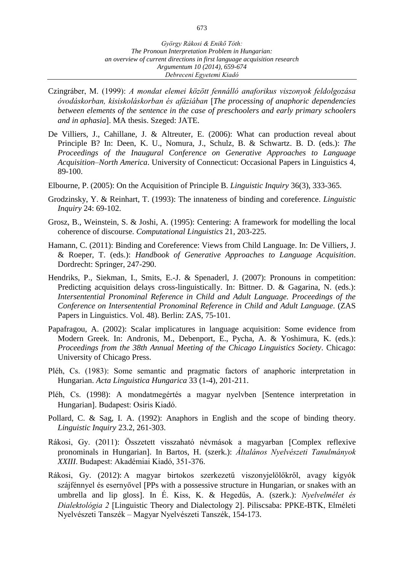- *Debreceni Egyetemi Kiadó*
- Czingráber, M. (1999): *A mondat elemei között fennálló anaforikus viszonyok feldolgozása óvodáskorban, kisiskoláskorban és afáziában The processing of anaphoric dependencies between elements of the sentence in the case of preschoolers and early primary schoolers and in aphasia*. MA thesis. Szeged: JATE.
- De Villiers, J., Cahillane, J. & Altreuter, E. (2006): What can production reveal about Principle B? In: Deen, K. U., Nomura, J., Schulz, B. & Schwartz. B. D. (eds.): *The Proceedings of the Inaugural Conference on Generative Approaches to Language Acquisition–North America*. University of Connecticut: Occasional Papers in Linguistics 4, 89-100.
- Elbourne, P. (2005): On the Acquisition of Principle B. *Linguistic Inquiry* 36(3), 333-365.
- Grodzinsky, Y. & Reinhart, T. (1993): The innateness of binding and coreference. *Linguistic Inquiry* 24: 69-102.
- Grosz, B., Weinstein, S. & Joshi, A. (1995): Centering: A framework for modelling the local coherence of discourse. *Computational Linguistics* 21, 203-225.
- Hamann, C. (2011): Binding and Coreference: Views from Child Language. In: De Villiers, J. & Roeper, T. (eds.): *Handbook of Generative Approaches to Language Acquisition*. Dordrecht: Springer, 247-290.
- Hendriks, P., Siekman, I., Smits, E.-J. & Spenaderl, J. (2007): Pronouns in competition: Predicting acquisition delays cross-linguistically. In: Bittner. D. & Gagarina, N. (eds.): *Intersentential Pronominal Reference in Child and Adult Language. Proceedings of the Conference on Intersentential Pronominal Reference in Child and Adult Language*. (ZAS Papers in Linguistics. Vol. 48). Berlin: ZAS, 75-101.
- Papafragou, A. (2002): Scalar implicatures in language acquisition: Some evidence from Modern Greek. In: Andronis, M., Debenport, E., Pycha, A. & Yoshimura, K. (eds.): *Proceedings from the 38th Annual Meeting of the Chicago Linguistics Society*. Chicago: University of Chicago Press.
- Pléh, Cs. (1983): Some semantic and pragmatic factors of anaphoric interpretation in Hungarian. *Acta Linguistica Hungarica* 33 (1-4), 201-211.
- Pléh, Cs. (1998): A mondatmegértés a magyar nyelvben [Sentence interpretation in Hungarian]. Budapest: Osiris Kiadó.
- Pollard, C. & Sag, I. A. (1992): Anaphors in English and the scope of binding theory. *Linguistic Inquiry* 23.2, 261-303.
- Rákosi, Gy. (2011): Összetett visszaható névmások a magyarban Complex reflexive pronominals in Hungarian]. In Bartos, H. (szerk.): Általános Nyelvészeti Tanulmányok *XXIII*. Budapest: Akadémiai Kiadó, 351-376.
- Rákosi, Gy. (2012): A magyar birtokos szerkezetű viszonyjelölőkről, avagy kígyók szájfénnyel és esernyővel PPs with a possessive structure in Hungarian, or snakes with an umbrella and lip gloss]. In É. Kiss, K. & Hegedűs, A. (szerk.): *Nyelvelmélet és Dialektológia 2* [Linguistic Theory and Dialectology 2]. Piliscsaba: PPKE-BTK, Elméleti Nyelvészeti Tanszék – Magyar Nyelvészeti Tanszék, 154-173.